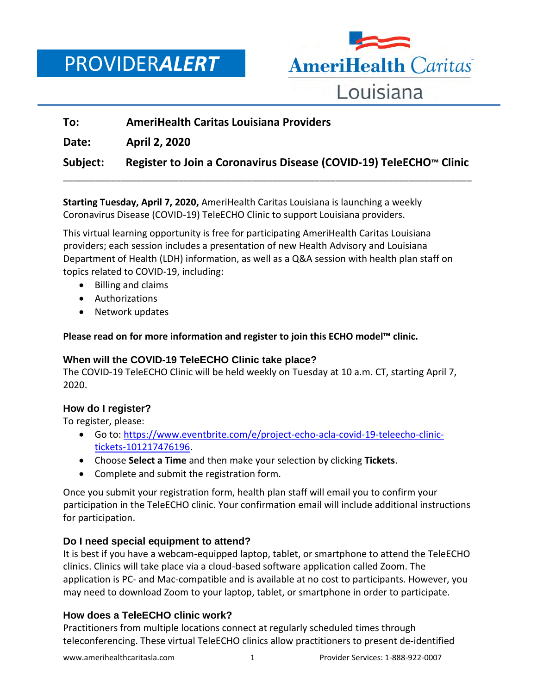PROVIDER*ALERT*



# **To: AmeriHealth Caritas Louisiana Providers Date: April 2, 2020 Subject: Register to Join a Coronavirus Disease (COVID-19) TeleECHO™ Clinic** \_\_\_\_\_\_\_\_\_\_\_\_\_\_\_\_\_\_\_\_\_\_\_\_\_\_\_\_\_\_\_\_\_\_\_\_\_\_\_\_\_\_\_\_\_\_\_\_\_\_\_\_\_\_\_\_\_\_\_\_\_\_\_\_\_\_\_\_\_\_\_\_\_\_\_\_\_\_

**Starting Tuesday, April 7, 2020,** AmeriHealth Caritas Louisiana is launching a weekly Coronavirus Disease (COVID-19) TeleECHO Clinic to support Louisiana providers.

This virtual learning opportunity is free for participating AmeriHealth Caritas Louisiana providers; each session includes a presentation of new Health Advisory and Louisiana Department of Health (LDH) information, as well as a Q&A session with health plan staff on topics related to COVID-19, including:

- Billing and claims
- Authorizations
- Network updates

**Please read on for more information and register to join this ECHO model™ clinic.**

## **When will the COVID-19 TeleECHO Clinic take place?**

The COVID-19 TeleECHO Clinic will be held weekly on Tuesday at 10 a.m. CT, starting April 7, 2020.

## **How do I register?**

To register, please:

- Go to: [https://www.eventbrite.com/e/project-echo-acla-covid-19-teleecho-clinic](https://www.eventbrite.com/e/project-echo-acla-covid-19-teleecho-clinic-tickets-101217476196)[tickets-101217476196.](https://www.eventbrite.com/e/project-echo-acla-covid-19-teleecho-clinic-tickets-101217476196)
- Choose **Select a Time** and then make your selection by clicking **Tickets**.
- Complete and submit the registration form.

Once you submit your registration form, health plan staff will email you to confirm your participation in the TeleECHO clinic. Your confirmation email will include additional instructions for participation.

## **Do I need special equipment to attend?**

It is best if you have a webcam-equipped laptop, tablet, or smartphone to attend the TeleECHO clinics. Clinics will take place via a cloud-based software application called Zoom. The application is PC- and Mac-compatible and is available at no cost to participants. However, you may need to download Zoom to your laptop, tablet, or smartphone in order to participate.

## **How does a TeleECHO clinic work?**

Practitioners from multiple locations connect at regularly scheduled times through teleconferencing. These virtual TeleECHO clinics allow practitioners to present de-identified